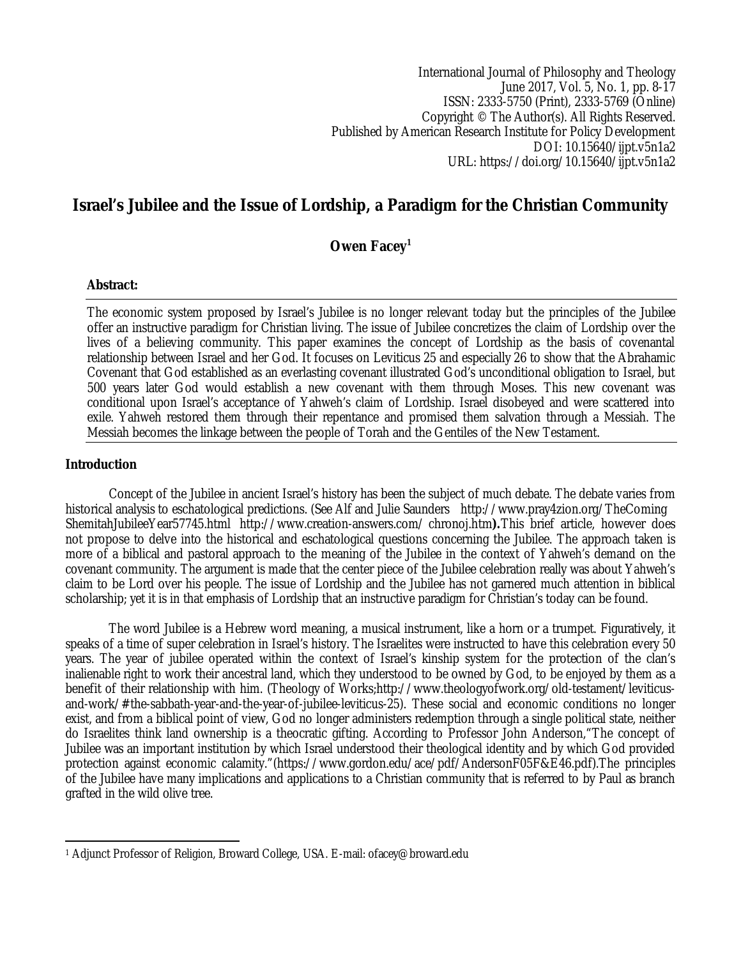International Journal of Philosophy and Theology June 2017, Vol. 5, No. 1, pp. 8-17 ISSN: 2333-5750 (Print), 2333-5769 (Online) Copyright © The Author(s). All Rights Reserved. Published by American Research Institute for Policy Development DOI: 10.15640/ijpt.v5n1a2 URL: https://doi.org/10.15640/ijpt.v5n1a2

# **Israel's Jubilee and the Issue of Lordship, a Paradigm for the Christian Community**

**Owen Facey<sup>1</sup>**

#### **Abstract:**

The economic system proposed by Israel's Jubilee is no longer relevant today but the principles of the Jubilee offer an instructive paradigm for Christian living. The issue of Jubilee concretizes the claim of Lordship over the lives of a believing community. This paper examines the concept of Lordship as the basis of covenantal relationship between Israel and her God. It focuses on Leviticus 25 and especially 26 to show that the Abrahamic Covenant that God established as an everlasting covenant illustrated God's unconditional obligation to Israel, but 500 years later God would establish a new covenant with them through Moses. This new covenant was conditional upon Israel's acceptance of Yahweh's claim of Lordship. Israel disobeyed and were scattered into exile. Yahweh restored them through their repentance and promised them salvation through a Messiah. The Messiah becomes the linkage between the people of Torah and the Gentiles of the New Testament.

#### **Introduction**

Concept of the Jubilee in ancient Israel's history has been the subject of much debate. The debate varies from historical analysis to eschatological predictions. (See Alf and Julie Saunders http://www.pray4zion.org/TheComing ShemitahJubileeYear57745.html http://www.creation-answers.com/ chronoj.htm**).**This brief article, however does not propose to delve into the historical and eschatological questions concerning the Jubilee. The approach taken is more of a biblical and pastoral approach to the meaning of the Jubilee in the context of Yahweh's demand on the covenant community. The argument is made that the center piece of the Jubilee celebration really was about Yahweh's claim to be Lord over his people. The issue of Lordship and the Jubilee has not garnered much attention in biblical scholarship; yet it is in that emphasis of Lordship that an instructive paradigm for Christian's today can be found.

The word Jubilee is a Hebrew word meaning, a musical instrument, like a horn or a trumpet. Figuratively, it speaks of a time of super celebration in Israel's history. The Israelites were instructed to have this celebration every 50 years. The year of jubilee operated within the context of Israel's kinship system for the protection of the clan's inalienable right to work their ancestral land, which they understood to be owned by God, to be enjoyed by them as a benefit of their relationship with him. (Theology of Works;http://www.theologyofwork.org/old-testament/leviticusand-work/#the-sabbath-year-and-the-year-of-jubilee-leviticus-25). These social and economic conditions no longer exist, and from a biblical point of view, God no longer administers redemption through a single political state, neither do Israelites think land ownership is a theocratic gifting. According to Professor John Anderson,"The concept of Jubilee was an important institution by which Israel understood their theological identity and by which God provided protection against economic calamity."(https://www.gordon.edu/ace/pdf/AndersonF05F&E46.pdf).The principles of the Jubilee have many implications and applications to a Christian community that is referred to by Paul as branch grafted in the wild olive tree.

 $\overline{a}$ <sup>1</sup> Adjunct Professor of Religion, Broward College, USA. E-mail: ofacey@broward.edu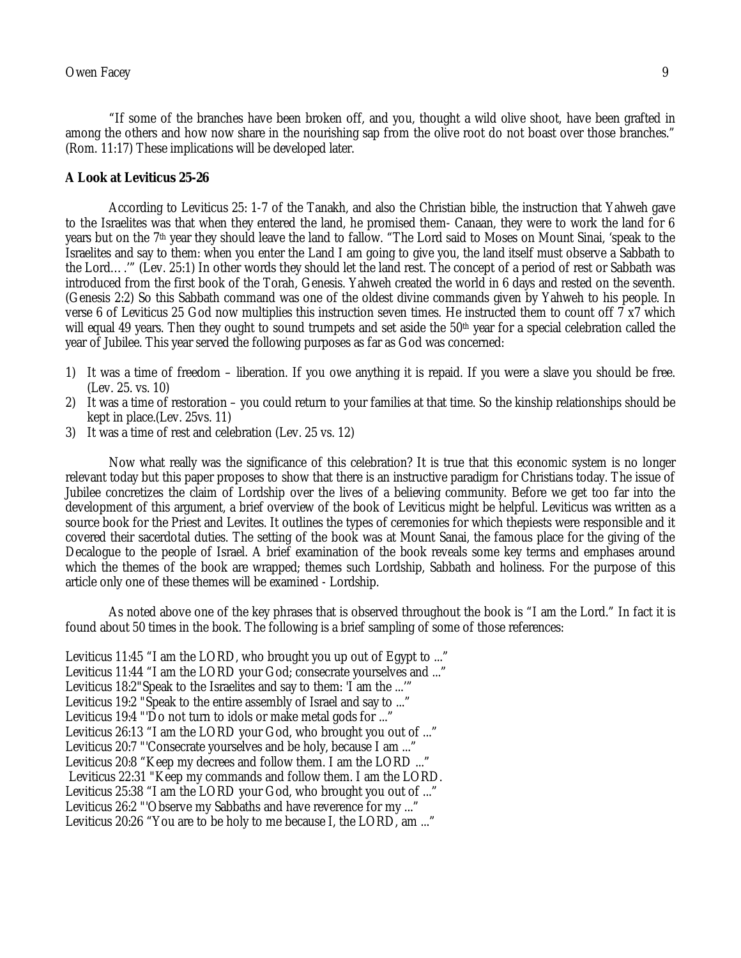"If some of the branches have been broken off, and you, thought a wild olive shoot, have been grafted in among the others and how now share in the nourishing sap from the olive root do not boast over those branches." (Rom. 11:17) These implications will be developed later.

#### **A Look at Leviticus 25-26**

According to Leviticus 25: 1-7 of the Tanakh, and also the Christian bible, the instruction that Yahweh gave to the Israelites was that when they entered the land, he promised them- Canaan, they were to work the land for 6 years but on the 7th year they should leave the land to fallow. "The Lord said to Moses on Mount Sinai, 'speak to the Israelites and say to them: when you enter the Land I am going to give you, the land itself must observe a Sabbath to the Lord….'" (Lev. 25:1) In other words they should let the land rest. The concept of a period of rest or Sabbath was introduced from the first book of the Torah, Genesis. Yahweh created the world in 6 days and rested on the seventh. (Genesis 2:2) So this Sabbath command was one of the oldest divine commands given by Yahweh to his people. In verse 6 of Leviticus 25 God now multiplies this instruction seven times. He instructed them to count off 7 x7 which will equal 49 years. Then they ought to sound trumpets and set aside the  $50<sup>th</sup>$  year for a special celebration called the year of Jubilee. This year served the following purposes as far as God was concerned:

- 1) It was a time of freedom liberation. If you owe anything it is repaid. If you were a slave you should be free. (Lev. 25. vs. 10)
- 2) It was a time of restoration you could return to your families at that time. So the kinship relationships should be kept in place.(Lev. 25vs. 11)
- 3) It was a time of rest and celebration (Lev. 25 vs. 12)

Now what really was the significance of this celebration? It is true that this economic system is no longer relevant today but this paper proposes to show that there is an instructive paradigm for Christians today. The issue of Jubilee concretizes the claim of Lordship over the lives of a believing community. Before we get too far into the development of this argument, a brief overview of the book of Leviticus might be helpful. Leviticus was written as a source book for the Priest and Levites. It outlines the types of ceremonies for which thepiests were responsible and it covered their sacerdotal duties. The setting of the book was at Mount Sanai, the famous place for the giving of the Decalogue to the people of Israel. A brief examination of the book reveals some key terms and emphases around which the themes of the book are wrapped; themes such Lordship, Sabbath and holiness. For the purpose of this article only one of these themes will be examined - Lordship.

As noted above one of the key phrases that is observed throughout the book is "I am the Lord." In fact it is found about 50 times in the book. The following is a brief sampling of some of those references:

Leviticus 11:45 "I am the LORD, who brought you up out of Egypt to ..." Leviticus 11:44 "I am the LORD your God; consecrate yourselves and ..." Leviticus 18:2"Speak to the Israelites and say to them: 'I am the ...'" Leviticus 19:2 "Speak to the entire assembly of Israel and say to ..." Leviticus 19:4 "'Do not turn to idols or make metal gods for ..." Leviticus 26:13 "I am the LORD your God, who brought you out of ..." Leviticus 20:7 "'Consecrate yourselves and be holy, because I am ..." Leviticus 20:8 "Keep my decrees and follow them. I am the LORD ..." Leviticus 22:31 "Keep my commands and follow them. I am the LORD. Leviticus 25:38 "I am the LORD your God, who brought you out of ..." Leviticus 26:2 "'Observe my Sabbaths and have reverence for my ..." Leviticus 20:26 "You are to be holy to me because I, the LORD, am ..."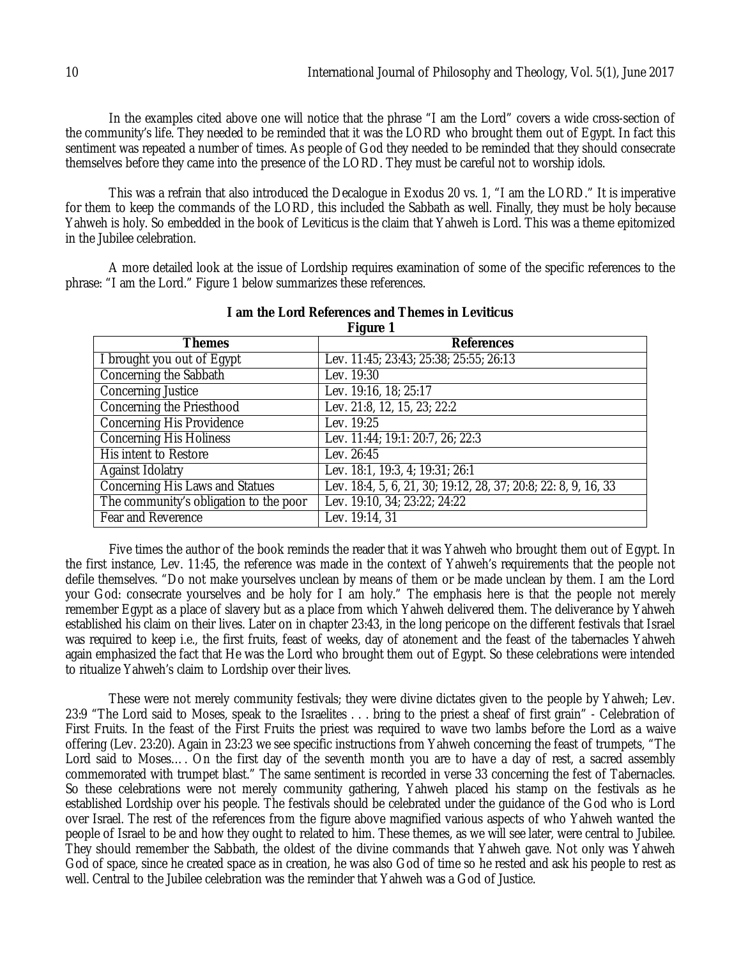In the examples cited above one will notice that the phrase "I am the Lord" covers a wide cross-section of the community's life. They needed to be reminded that it was the LORD who brought them out of Egypt. In fact this sentiment was repeated a number of times. As people of God they needed to be reminded that they should consecrate themselves before they came into the presence of the LORD. They must be careful not to worship idols.

This was a refrain that also introduced the Decalogue in Exodus 20 vs. 1, "I am the LORD." It is imperative for them to keep the commands of the LORD, this included the Sabbath as well. Finally, they must be holy because Yahweh is holy. So embedded in the book of Leviticus is the claim that Yahweh is Lord. This was a theme epitomized in the Jubilee celebration.

A more detailed look at the issue of Lordship requires examination of some of the specific references to the phrase: "I am the Lord." Figure 1 below summarizes these references.

| Themes                                 | i iyult i<br><b>References</b>                                 |
|----------------------------------------|----------------------------------------------------------------|
| I brought you out of Egypt             | Lev. 11:45; 23:43; 25:38; 25:55; 26:13                         |
| Concerning the Sabbath                 | Lev. 19:30                                                     |
| Concerning Justice                     | Lev. 19:16, 18; 25:17                                          |
| Concerning the Priesthood              | Lev. 21:8, 12, 15, 23; 22:2                                    |
| Concerning His Providence              | Lev. 19:25                                                     |
| <b>Concerning His Holiness</b>         | Lev. 11:44; 19:1: 20:7, 26; 22:3                               |
| His intent to Restore                  | Lev. 26:45                                                     |
| <b>Against Idolatry</b>                | Lev. 18:1, 19:3, 4; 19:31; 26:1                                |
| Concerning His Laws and Statues        | Lev. 18:4, 5, 6, 21, 30; 19:12, 28, 37; 20:8; 22: 8, 9, 16, 33 |
| The community's obligation to the poor | Lev. 19:10, 34; 23:22; 24:22                                   |
| Fear and Reverence                     | Lev. 19:14, 31                                                 |

#### **I am the Lord References and Themes in Leviticus Figure 1**

Five times the author of the book reminds the reader that it was Yahweh who brought them out of Egypt. In the first instance, Lev. 11:45, the reference was made in the context of Yahweh's requirements that the people not defile themselves. "Do not make yourselves unclean by means of them or be made unclean by them. I am the Lord your God: consecrate yourselves and be holy for I am holy." The emphasis here is that the people not merely remember Egypt as a place of slavery but as a place from which Yahweh delivered them. The deliverance by Yahweh established his claim on their lives. Later on in chapter 23:43, in the long pericope on the different festivals that Israel was required to keep i.e., the first fruits, feast of weeks, day of atonement and the feast of the tabernacles Yahweh again emphasized the fact that He was the Lord who brought them out of Egypt. So these celebrations were intended to ritualize Yahweh's claim to Lordship over their lives.

These were not merely community festivals; they were divine dictates given to the people by Yahweh; Lev. 23:9 "The Lord said to Moses, speak to the Israelites . . . bring to the priest a sheaf of first grain" - Celebration of First Fruits. In the feast of the First Fruits the priest was required to wave two lambs before the Lord as a waive offering (Lev. 23:20). Again in 23:23 we see specific instructions from Yahweh concerning the feast of trumpets, "The Lord said to Moses…. On the first day of the seventh month you are to have a day of rest, a sacred assembly commemorated with trumpet blast." The same sentiment is recorded in verse 33 concerning the fest of Tabernacles. So these celebrations were not merely community gathering, Yahweh placed his stamp on the festivals as he established Lordship over his people. The festivals should be celebrated under the guidance of the God who is Lord over Israel. The rest of the references from the figure above magnified various aspects of who Yahweh wanted the people of Israel to be and how they ought to related to him. These themes, as we will see later, were central to Jubilee. They should remember the Sabbath, the oldest of the divine commands that Yahweh gave. Not only was Yahweh God of space, since he created space as in creation, he was also God of time so he rested and ask his people to rest as well. Central to the Jubilee celebration was the reminder that Yahweh was a God of Justice.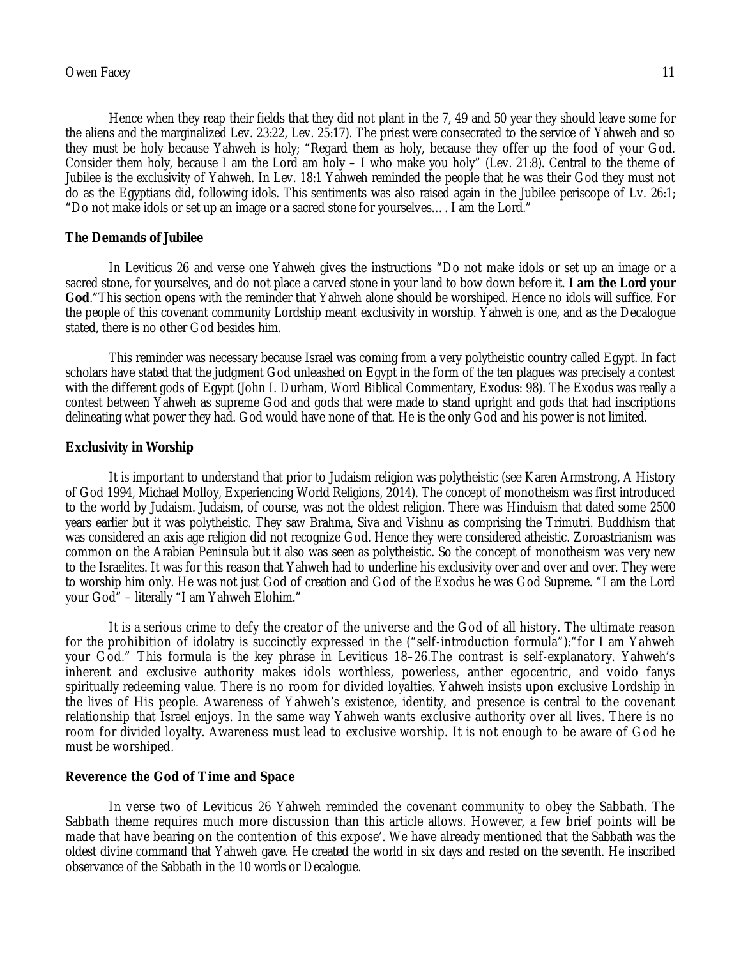Hence when they reap their fields that they did not plant in the 7, 49 and 50 year they should leave some for the aliens and the marginalized Lev. 23:22, Lev. 25:17). The priest were consecrated to the service of Yahweh and so they must be holy because Yahweh is holy; "Regard them as holy, because they offer up the food of your God. Consider them holy, because I am the Lord am holy – I who make you holy" (Lev. 21:8). Central to the theme of Jubilee is the exclusivity of Yahweh. In Lev. 18:1 Yahweh reminded the people that he was their God they must not do as the Egyptians did, following idols. This sentiments was also raised again in the Jubilee periscope of Lv. 26:1; "Do not make idols or set up an image or a sacred stone for yourselves…. I am the Lord."

#### **The Demands of Jubilee**

In Leviticus 26 and verse one Yahweh gives the instructions "Do not make idols or set up an image or a sacred stone, for yourselves, and do not place a carved stone in your land to bow down before it. **I am the Lord your God**."This section opens with the reminder that Yahweh alone should be worshiped. Hence no idols will suffice. For the people of this covenant community Lordship meant exclusivity in worship. Yahweh is one, and as the Decalogue stated, there is no other God besides him.

This reminder was necessary because Israel was coming from a very polytheistic country called Egypt. In fact scholars have stated that the judgment God unleashed on Egypt in the form of the ten plagues was precisely a contest with the different gods of Egypt (John I. Durham, Word Biblical Commentary, Exodus: 98). The Exodus was really a contest between Yahweh as supreme God and gods that were made to stand upright and gods that had inscriptions delineating what power they had. God would have none of that. He is the only God and his power is not limited.

#### **Exclusivity in Worship**

It is important to understand that prior to Judaism religion was polytheistic (see Karen Armstrong, A History of God 1994, Michael Molloy, Experiencing World Religions, 2014). The concept of monotheism was first introduced to the world by Judaism. Judaism, of course, was not the oldest religion. There was Hinduism that dated some 2500 years earlier but it was polytheistic. They saw Brahma, Siva and Vishnu as comprising the Trimutri. Buddhism that was considered an axis age religion did not recognize God. Hence they were considered atheistic. Zoroastrianism was common on the Arabian Peninsula but it also was seen as polytheistic. So the concept of monotheism was very new to the Israelites. It was for this reason that Yahweh had to underline his exclusivity over and over and over. They were to worship him only. He was not just God of creation and God of the Exodus he was God Supreme. "I am the Lord your God" – literally "I am Yahweh Elohim."

It is a serious crime to defy the creator of the universe and the God of all history. The ultimate reason for the prohibition of idolatry is succinctly expressed in the ("self-introduction formula"):"for I am Yahweh your God." This formula is the key phrase in Leviticus 18–26.The contrast is self-explanatory. Yahweh's inherent and exclusive authority makes idols worthless, powerless, anther egocentric, and voido fanys spiritually redeeming value. There is no room for divided loyalties. Yahweh insists upon exclusive Lordship in the lives of His people. Awareness of Yahweh's existence, identity, and presence is central to the covenant relationship that Israel enjoys. In the same way Yahweh wants exclusive authority over all lives. There is no room for divided loyalty. Awareness must lead to exclusive worship. It is not enough to be aware of God he must be worshiped.

#### **Reverence the God of Time and Space**

In verse two of Leviticus 26 Yahweh reminded the covenant community to obey the Sabbath. The Sabbath theme requires much more discussion than this article allows. However, a few brief points will be made that have bearing on the contention of this expose'. We have already mentioned that the Sabbath was the oldest divine command that Yahweh gave. He created the world in six days and rested on the seventh. He inscribed observance of the Sabbath in the 10 words or Decalogue.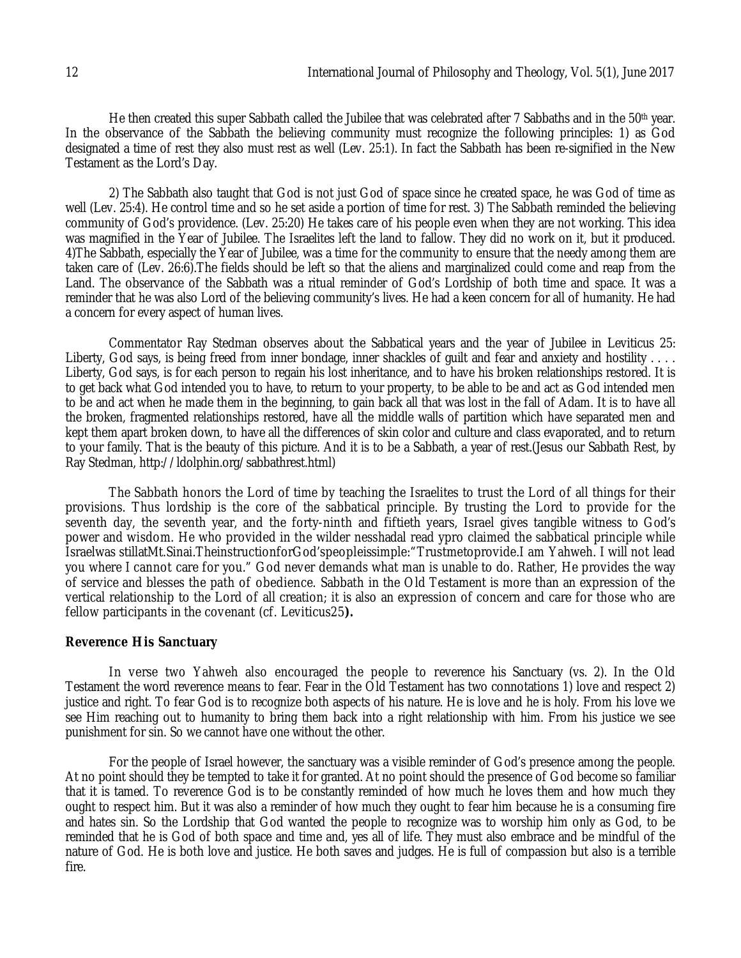He then created this super Sabbath called the Jubilee that was celebrated after 7 Sabbaths and in the 50<sup>th</sup> year. In the observance of the Sabbath the believing community must recognize the following principles: 1) as God designated a time of rest they also must rest as well (Lev. 25:1). In fact the Sabbath has been re-signified in the New Testament as the Lord's Day.

2) The Sabbath also taught that God is not just God of space since he created space, he was God of time as well (Lev. 25:4). He control time and so he set aside a portion of time for rest. 3) The Sabbath reminded the believing community of God's providence. (Lev. 25:20) He takes care of his people even when they are not working. This idea was magnified in the Year of Jubilee. The Israelites left the land to fallow. They did no work on it, but it produced. 4)The Sabbath, especially the Year of Jubilee, was a time for the community to ensure that the needy among them are taken care of (Lev. 26:6).The fields should be left so that the aliens and marginalized could come and reap from the Land. The observance of the Sabbath was a ritual reminder of God's Lordship of both time and space. It was a reminder that he was also Lord of the believing community's lives. He had a keen concern for all of humanity. He had a concern for every aspect of human lives.

Commentator Ray Stedman observes about the Sabbatical years and the year of Jubilee in Leviticus 25: Liberty, God says, is being freed from inner bondage, inner shackles of quilt and fear and anxiety and hostility ... Liberty, God says, is for each person to regain his lost inheritance, and to have his broken relationships restored. It is to get back what God intended you to have, to return to your property, to be able to be and act as God intended men to be and act when he made them in the beginning, to gain back all that was lost in the fall of Adam. It is to have all the broken, fragmented relationships restored, have all the middle walls of partition which have separated men and kept them apart broken down, to have all the differences of skin color and culture and class evaporated, and to return to your family. That is the beauty of this picture. And it is to be a Sabbath, a year of rest.(Jesus our Sabbath Rest, by Ray Stedman, http://ldolphin.org/sabbathrest.html)

The Sabbath honors the Lord of time by teaching the Israelites to trust the Lord of all things for their provisions. Thus lordship is the core of the sabbatical principle. By trusting the Lord to provide for the seventh day, the seventh year, and the forty-ninth and fiftieth years, Israel gives tangible witness to God's power and wisdom. He who provided in the wilder nesshadal read ypro claimed the sabbatical principle while Israelwas stillatMt.Sinai.TheinstructionforGod'speopleissimple:"Trustmetoprovide.I am Yahweh. I will not lead you where I cannot care for you." God never demands what man is unable to do. Rather, He provides the way of service and blesses the path of obedience. Sabbath in the Old Testament is more than an expression of the vertical relationship to the Lord of all creation; it is also an expression of concern and care for those who are fellow participants in the covenant (cf. Leviticus25**).**

### **Reverence His Sanctuary**

In verse two Yahweh also encouraged the people to reverence his Sanctuary (vs. 2). In the Old Testament the word reverence means to fear. Fear in the Old Testament has two connotations 1) love and respect 2) justice and right. To fear God is to recognize both aspects of his nature. He is love and he is holy. From his love we see Him reaching out to humanity to bring them back into a right relationship with him. From his justice we see punishment for sin. So we cannot have one without the other.

For the people of Israel however, the sanctuary was a visible reminder of God's presence among the people. At no point should they be tempted to take it for granted. At no point should the presence of God become so familiar that it is tamed. To reverence God is to be constantly reminded of how much he loves them and how much they ought to respect him. But it was also a reminder of how much they ought to fear him because he is a consuming fire and hates sin. So the Lordship that God wanted the people to recognize was to worship him only as God, to be reminded that he is God of both space and time and, yes all of life. They must also embrace and be mindful of the nature of God. He is both love and justice. He both saves and judges. He is full of compassion but also is a terrible fire.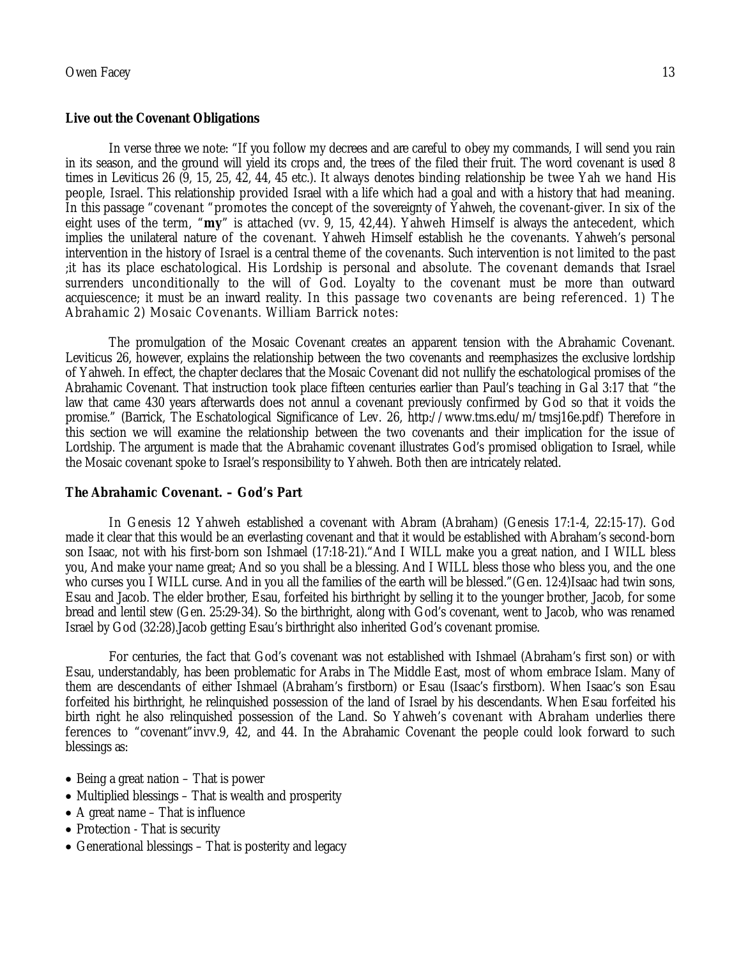#### **Live out the Covenant Obligations**

In verse three we note: "If you follow my decrees and are careful to obey my commands, I will send you rain in its season, and the ground will yield its crops and, the trees of the filed their fruit. The word covenant is used 8 times in Leviticus 26 (9, 15, 25, 42, 44, 45 etc.). It always denotes binding relationship be twee Yah we hand His people, Israel. This relationship provided Israel with a life which had a goal and with a history that had meaning. In this passage "covenant "promotes the concept of the sovereignty of Yahweh, the covenant-giver. In six of the eight uses of the term, "**my**" is attached (vv. 9, 15, 42,44). Yahweh Himself is always the antecedent, which implies the unilateral nature of the covenant. Yahweh Himself establish he the covenants. Yahweh's personal intervention in the history of Israel is a central theme of the covenants. Such intervention is not limited to the past ;it has its place eschatological. His Lordship is personal and absolute. The covenant demands that Israel surrenders unconditionally to the will of God. Loyalty to the covenant must be more than outward acquiescence; it must be an inward reality. In this passage two covenants are being referenced. 1) The Abrahamic 2) Mosaic Covenants. William Barrick notes:

The promulgation of the Mosaic Covenant creates an apparent tension with the Abrahamic Covenant. Leviticus 26, however, explains the relationship between the two covenants and reemphasizes the exclusive lordship of Yahweh. In effect, the chapter declares that the Mosaic Covenant did not nullify the eschatological promises of the Abrahamic Covenant. That instruction took place fifteen centuries earlier than Paul's teaching in Gal 3:17 that "the law that came 430 years afterwards does not annul a covenant previously confirmed by God so that it voids the promise." (Barrick, The Eschatological Significance of Lev. 26, http://www.tms.edu/m/tmsj16e.pdf) Therefore in this section we will examine the relationship between the two covenants and their implication for the issue of Lordship. The argument is made that the Abrahamic covenant illustrates God's promised obligation to Israel, while the Mosaic covenant spoke to Israel's responsibility to Yahweh. Both then are intricately related.

### **The Abrahamic Covenant. – God's Part**

In Genesis 12 Yahweh established a covenant with Abram (Abraham) (Genesis 17:1-4, 22:15-17). God made it clear that this would be an everlasting covenant and that it would be established with Abraham's second-born son Isaac, not with his first-born son Ishmael (17:18-21)."And I WILL make you a great nation, and I WILL bless you, And make your name great; And so you shall be a blessing. And I WILL bless those who bless you, and the one who curses you I WILL curse. And in you all the families of the earth will be blessed." (Gen. 12:4) Isaac had twin sons, Esau and Jacob. The elder brother, Esau, forfeited his birthright by selling it to the younger brother, Jacob, for some bread and lentil stew (Gen. 25:29-34). So the birthright, along with God's covenant, went to Jacob, who was renamed Israel by God (32:28).Jacob getting Esau's birthright also inherited God's covenant promise.

For centuries, the fact that God's covenant was not established with Ishmael (Abraham's first son) or with Esau, understandably, has been problematic for Arabs in The Middle East, most of whom embrace Islam. Many of them are descendants of either Ishmael (Abraham's firstborn) or Esau (Isaac's firstborn). When Isaac's son Esau forfeited his birthright, he relinquished possession of the land of Israel by his descendants. When Esau forfeited his birth right he also relinquished possession of the Land. So Yahweh's covenant with Abraham underlies there ferences to "covenant"invv.9, 42, and 44. In the Abrahamic Covenant the people could look forward to such blessings as:

- $\bullet$  Being a great nation  $-$  That is power
- Multiplied blessings That is wealth and prosperity
- A great name That is influence
- Protection That is security
- Generational blessings That is posterity and legacy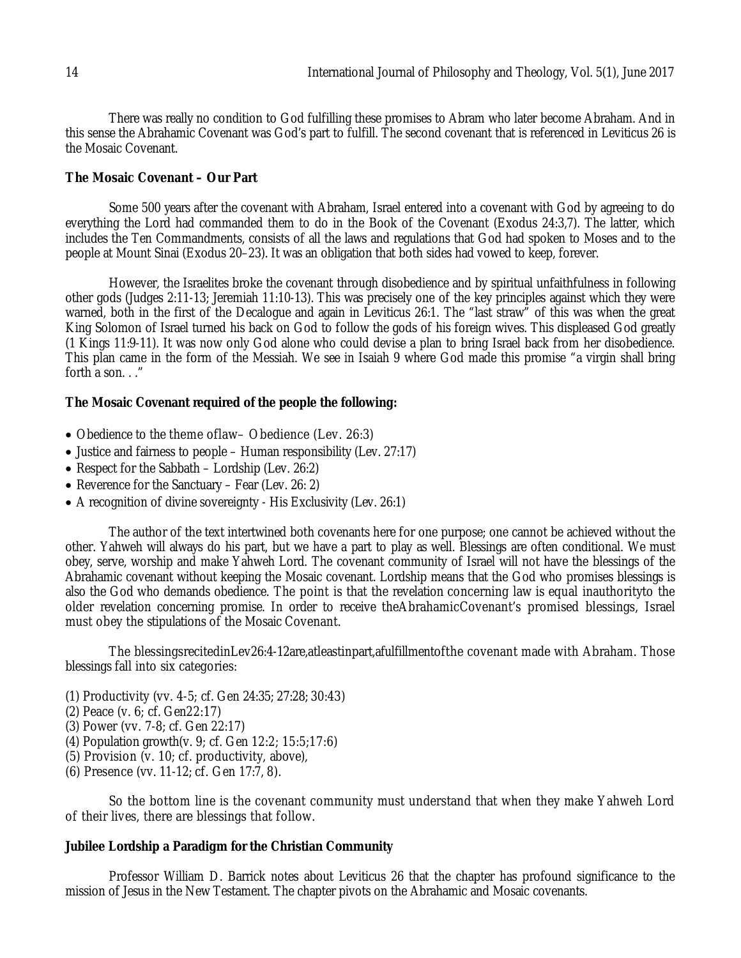There was really no condition to God fulfilling these promises to Abram who later become Abraham. And in this sense the Abrahamic Covenant was God's part to fulfill. The second covenant that is referenced in Leviticus 26 is the Mosaic Covenant.

#### **The Mosaic Covenant – Our Part**

Some 500 years after the covenant with Abraham, Israel entered into a covenant with God by agreeing to do everything the Lord had commanded them to do in the Book of the Covenant (Exodus 24:3,7). The latter, which includes the Ten Commandments, consists of all the laws and regulations that God had spoken to Moses and to the people at Mount Sinai (Exodus 20–23). It was an obligation that both sides had vowed to keep, forever.

However, the Israelites broke the covenant through disobedience and by spiritual unfaithfulness in following other gods (Judges 2:11-13; Jeremiah 11:10-13). This was precisely one of the key principles against which they were warned, both in the first of the Decalogue and again in Leviticus 26:1. The "last straw" of this was when the great King Solomon of Israel turned his back on God to follow the gods of his foreign wives. This displeased God greatly (1 Kings 11:9-11). It was now only God alone who could devise a plan to bring Israel back from her disobedience. This plan came in the form of the Messiah. We see in Isaiah 9 where God made this promise "a virgin shall bring forth a son. . ."

#### **The Mosaic Covenant required of the people the following:**

- Obedience to the theme of law– Obedience (Lev. 26:3)
- Justice and fairness to people Human responsibility (Lev. 27:17)
- Respect for the Sabbath Lordship (Lev. 26:2)
- Reverence for the Sanctuary Fear (Lev. 26: 2)
- A recognition of divine sovereignty His Exclusivity (Lev. 26:1)

The author of the text intertwined both covenants here for one purpose; one cannot be achieved without the other. Yahweh will always do his part, but we have a part to play as well. Blessings are often conditional. We must obey, serve, worship and make Yahweh Lord. The covenant community of Israel will not have the blessings of the Abrahamic covenant without keeping the Mosaic covenant. Lordship means that the God who promises blessings is also the God who demands obedience. The point is that the revelation concerning law is equal inauthorityto the older revelation concerning promise. In order to receive theAbrahamicCovenant's promised blessings, Israel must obey the stipulations of the Mosaic Covenant.

The blessingsrecitedinLev26:4-12are,atleastinpart,afulfillmentofthe covenant made with Abraham. Those blessings fall into six categories:

- (1) Productivity (vv. 4-5; cf. Gen 24:35; 27:28; 30:43)
- (2) Peace (v. 6; cf. Gen22:17)
- (3) Power (vv. 7-8; cf. Gen 22:17)
- (4) Population growth(v. 9; cf. Gen 12:2; 15:5;17:6)
- (5) Provision (v. 10; cf. productivity, above),
- (6) Presence (vv. 11-12; cf. Gen 17:7, 8).

So the bottom line is the covenant community must understand that when they make Yahweh Lord of their lives, there are blessings that follow.

#### **Jubilee Lordship a Paradigm for the Christian Community**

Professor William D. Barrick notes about Leviticus 26 that the chapter has profound significance to the mission of Jesus in the New Testament. The chapter pivots on the Abrahamic and Mosaic covenants.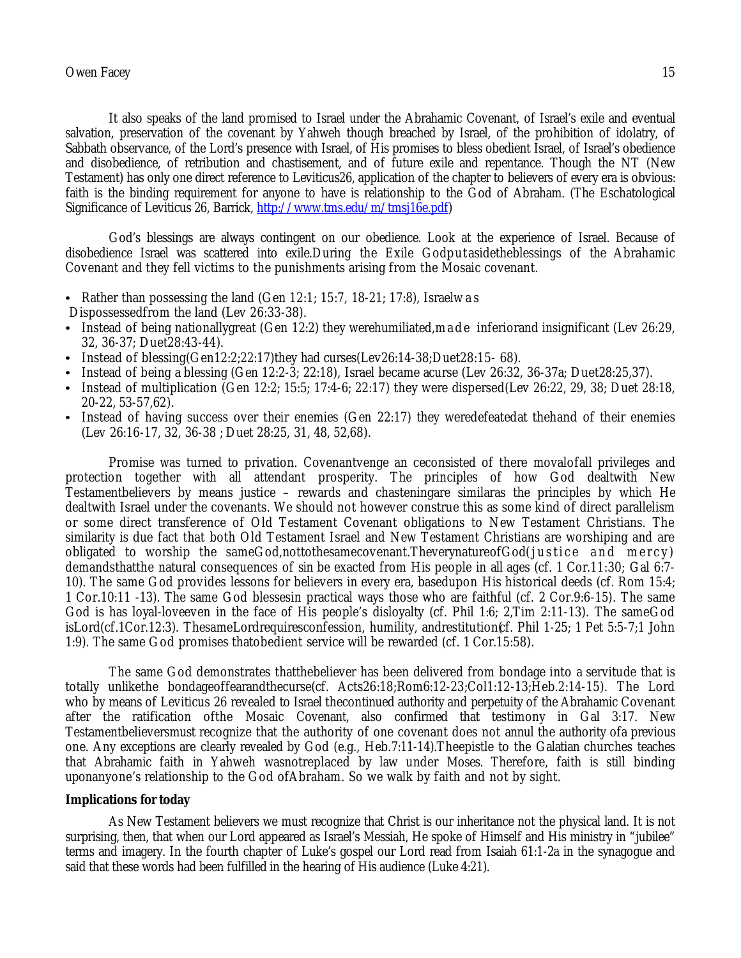It also speaks of the land promised to Israel under the Abrahamic Covenant, of Israel's exile and eventual salvation, preservation of the covenant by Yahweh though breached by Israel, of the prohibition of idolatry, of Sabbath observance, of the Lord's presence with Israel, of His promises to bless obedient Israel, of Israel's obedience and disobedience, of retribution and chastisement, and of future exile and repentance. Though the NT (New Testament) has only one direct reference to Leviticus26, application of the chapter to believers of every era is obvious: faith is the binding requirement for anyone to have is relationship to the God of Abraham. (The Eschatological Significance of Leviticus 26, Barrick, http://www.tms.edu/m/tmsj16e.pdf)

God's blessings are always contingent on our obedience. Look at the experience of Israel. Because of disobedience Israel was scattered into exile.During the Exile Godput asidetheblessings of the Abrahamic Covenant and they fell victims to the punishments arising from the Mosaic covenant.

- Rather than possessing the land (Gen  $12:1$ ; 15:7, 18-21; 17:8), Israelw a s
- Dispossessedfrom the land (Lev 26:33-38).
- Instead of being nationallygreat (Gen 12:2) they werehumiliated, made inferiorand insignificant (Lev 26:29, 32, 36-37; Duet28:43-44).
- Instead of blessing(Gen12:2:22:17)they had curses(Lev26:14-38;Duet28:15-68).
- Instead of being a blessing (Gen 12:2-3; 22:18), Israel became acurse (Lev 26:32, 36-37a; Duet28:25,37).
- Instead of multiplication (Gen 12:2; 15:5; 17:4-6; 22:17) they were dispersed(Lev 26:22, 29, 38; Duet 28:18, 20-22, 53-57,62).
- Instead of having success over their enemies (Gen 22:17) they weredefeatedat thehand of their enemies (Lev 26:16-17, 32, 36-38 ; Duet 28:25, 31, 48, 52,68).

Promise was turned to privation. Covenantvenge an ceconsisted of there movalofall privileges and protection together with all attendant prosperity. The principles of how God dealtwith New Testamentbelievers by means justice – rewards and chasteningare similaras the principles by which He dealtwith Israel under the covenants. We should not however construe this as some kind of direct parallelism or some direct transference of Old Testament Covenant obligations to New Testament Christians. The similarity is due fact that both Old Testament Israel and New Testament Christians are worshiping and are obligated to worship the sameGod,nottothesamecovenant.TheverynatureofGod(justice and mercy) demandsthatthe natural consequences of sin be exacted from His people in all ages (cf. 1 Cor.11:30; Gal 6:7- 10). The same God provides lessons for believers in every era, basedupon His historical deeds (cf. Rom 15:4; 1 Cor.10:11 -13). The same God blessesin practical ways those who are faithful (cf. 2 Cor.9:6-15). The same God is has loyal-loveeven in the face of His people's disloyalty (cf. Phil 1:6; 2,Tim 2:11-13). The sameGod isLord(cf.1Cor.12:3). ThesameLordrequiresconfession, humility, andrestitution(cf. Phil 1-25; 1 Pet 5:5-7;1 John 1:9). The same God promises thatobedient service will be rewarded (cf. 1 Cor.15:58).

The same God demonstrates thatthebeliever has been delivered from bondage into a servitude that is totally unlikethe bondageoffearandthecurse(cf. Acts26:18;Rom6:12-23;Col1:12-13;Heb.2:14-15). The Lord who by means of Leviticus 26 revealed to Israel thecontinued authority and perpetuity of the Abrahamic Covenant after the ratification ofthe Mosaic Covenant, also confirmed that testimony in Gal 3:17. New Testamentbelieversmust recognize that the authority of one covenant does not annul the authority ofa previous one. Any exceptions are clearly revealed by God (e.g., Heb.7:11-14).Theepistle to the Galatian churches teaches that Abrahamic faith in Yahweh wasnotreplaced by law under Moses. Therefore, faith is still binding uponanyone's relationship to the God ofAbraham. So we walk by faith and not by sight.

#### **Implications for today**

As New Testament believers we must recognize that Christ is our inheritance not the physical land. It is not surprising, then, that when our Lord appeared as Israel's Messiah, He spoke of Himself and His ministry in "jubilee" terms and imagery. In the fourth chapter of Luke's gospel our Lord read from Isaiah 61:1-2a in the synagogue and said that these words had been fulfilled in the hearing of His audience (Luke 4:21).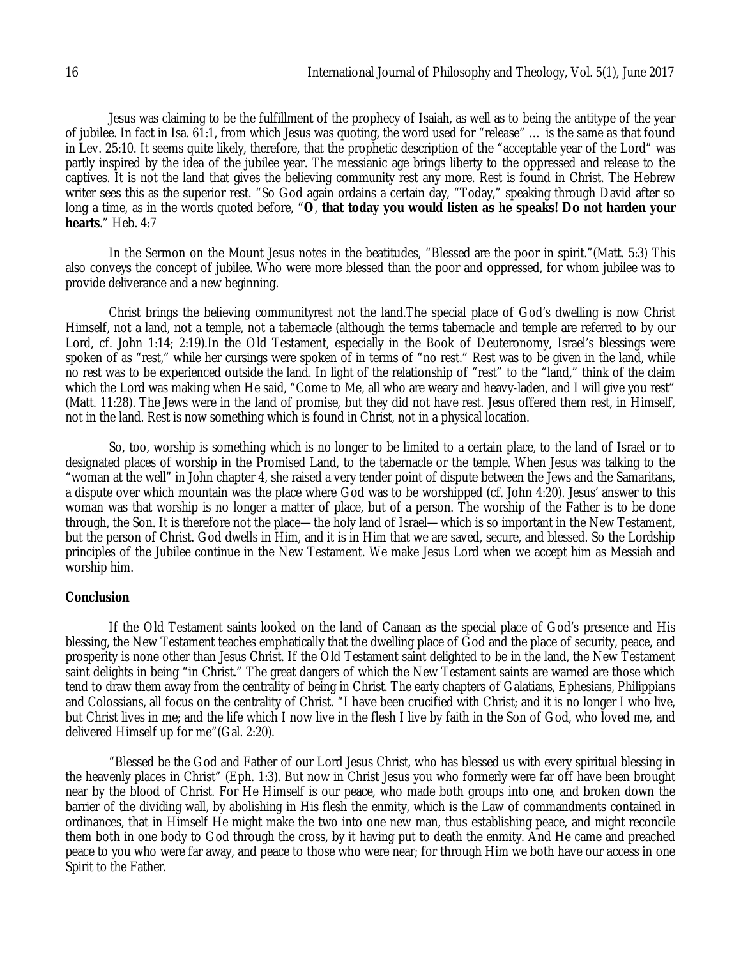Jesus was claiming to be the fulfillment of the prophecy of Isaiah, as well as to being the antitype of the year of jubilee. In fact in Isa. 61:1, from which Jesus was quoting, the word used for "release" … is the same as that found in Lev. 25:10. It seems quite likely, therefore, that the prophetic description of the "acceptable year of the Lord" was partly inspired by the idea of the jubilee year. The messianic age brings liberty to the oppressed and release to the captives. It is not the land that gives the believing community rest any more. Rest is found in Christ. The Hebrew writer sees this as the superior rest. "So God again ordains a certain day, "Today," speaking through David after so long a time, as in the words quoted before, "**O**, **that today you would listen as he speaks! Do not harden your hearts**." Heb. 4:7

In the Sermon on the Mount Jesus notes in the beatitudes, "Blessed are the poor in spirit."(Matt. 5:3) This also conveys the concept of jubilee. Who were more blessed than the poor and oppressed, for whom jubilee was to provide deliverance and a new beginning.

Christ brings the believing communityrest not the land.The special place of God's dwelling is now Christ Himself, not a land, not a temple, not a tabernacle (although the terms tabernacle and temple are referred to by our Lord, cf. John 1:14; 2:19).In the Old Testament, especially in the Book of Deuteronomy, Israel's blessings were spoken of as "rest," while her cursings were spoken of in terms of "no rest." Rest was to be given in the land, while no rest was to be experienced outside the land. In light of the relationship of "rest" to the "land," think of the claim which the Lord was making when He said, "Come to Me, all who are weary and heavy-laden, and I will give you rest" (Matt. 11:28). The Jews were in the land of promise, but they did not have rest. Jesus offered them rest, in Himself, not in the land. Rest is now something which is found in Christ, not in a physical location.

So, too, worship is something which is no longer to be limited to a certain place, to the land of Israel or to designated places of worship in the Promised Land, to the tabernacle or the temple. When Jesus was talking to the "woman at the well" in John chapter 4, she raised a very tender point of dispute between the Jews and the Samaritans, a dispute over which mountain was the place where God was to be worshipped (cf. John 4:20). Jesus' answer to this woman was that worship is no longer a matter of place, but of a person. The worship of the Father is to be done through, the Son. It is therefore not the place—the holy land of Israel—which is so important in the New Testament, but the person of Christ. God dwells in Him, and it is in Him that we are saved, secure, and blessed. So the Lordship principles of the Jubilee continue in the New Testament. We make Jesus Lord when we accept him as Messiah and worship him.

### **Conclusion**

If the Old Testament saints looked on the land of Canaan as the special place of God's presence and His blessing, the New Testament teaches emphatically that the dwelling place of God and the place of security, peace, and prosperity is none other than Jesus Christ. If the Old Testament saint delighted to be in the land, the New Testament saint delights in being "in Christ." The great dangers of which the New Testament saints are warned are those which tend to draw them away from the centrality of being in Christ. The early chapters of Galatians, Ephesians, Philippians and Colossians, all focus on the centrality of Christ. "I have been crucified with Christ; and it is no longer I who live, but Christ lives in me; and the life which I now live in the flesh I live by faith in the Son of God, who loved me, and delivered Himself up for me"(Gal. 2:20).

"Blessed be the God and Father of our Lord Jesus Christ, who has blessed us with every spiritual blessing in the heavenly places in Christ" (Eph. 1:3). But now in Christ Jesus you who formerly were far off have been brought near by the blood of Christ. For He Himself is our peace, who made both groups into one, and broken down the barrier of the dividing wall, by abolishing in His flesh the enmity, which is the Law of commandments contained in ordinances, that in Himself He might make the two into one new man, thus establishing peace, and might reconcile them both in one body to God through the cross, by it having put to death the enmity. And He came and preached peace to you who were far away, and peace to those who were near; for through Him we both have our access in one Spirit to the Father.